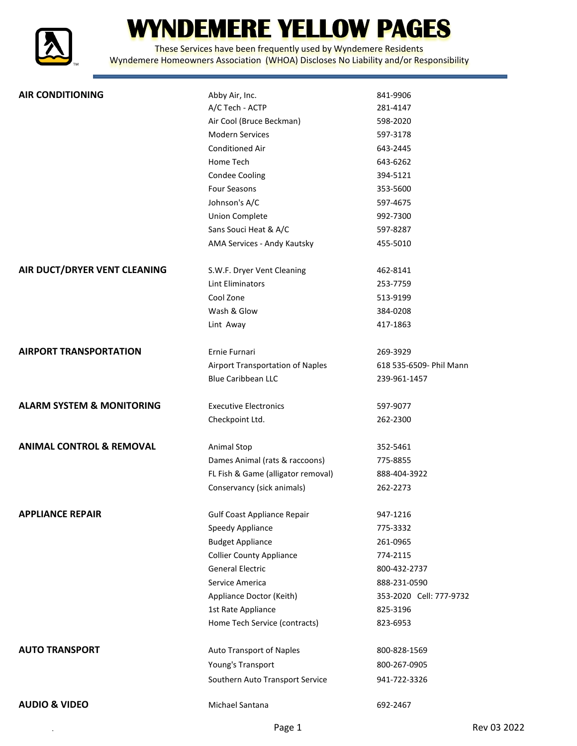

## **WYNDEMERE YELLOW PAGES**

These Services have been frequently used by Wyndemere Residents Wyndemere Homeowners Association (WHOA) Discloses No Liability and/or Responsibility

| <b>AIR CONDITIONING</b>              | Abby Air, Inc.                     | 841-9906                |
|--------------------------------------|------------------------------------|-------------------------|
|                                      | A/C Tech - ACTP                    | 281-4147                |
|                                      | Air Cool (Bruce Beckman)           | 598-2020                |
|                                      | <b>Modern Services</b>             | 597-3178                |
|                                      | <b>Conditioned Air</b>             | 643-2445                |
|                                      | Home Tech                          | 643-6262                |
|                                      | <b>Condee Cooling</b>              | 394-5121                |
|                                      | <b>Four Seasons</b>                | 353-5600                |
|                                      | Johnson's A/C                      | 597-4675                |
|                                      | <b>Union Complete</b>              | 992-7300                |
|                                      | Sans Souci Heat & A/C              | 597-8287                |
|                                      | AMA Services - Andy Kautsky        | 455-5010                |
| AIR DUCT/DRYER VENT CLEANING         | S.W.F. Dryer Vent Cleaning         | 462-8141                |
|                                      | <b>Lint Eliminators</b>            | 253-7759                |
|                                      | Cool Zone                          | 513-9199                |
|                                      | Wash & Glow                        | 384-0208                |
|                                      | Lint Away                          | 417-1863                |
| <b>AIRPORT TRANSPORTATION</b>        | Ernie Furnari                      | 269-3929                |
|                                      | Airport Transportation of Naples   | 618 535-6509- Phil Mann |
|                                      | <b>Blue Caribbean LLC</b>          | 239-961-1457            |
| <b>ALARM SYSTEM &amp; MONITORING</b> | <b>Executive Electronics</b>       | 597-9077                |
|                                      | Checkpoint Ltd.                    | 262-2300                |
| <b>ANIMAL CONTROL &amp; REMOVAL</b>  | <b>Animal Stop</b>                 | 352-5461                |
|                                      | Dames Animal (rats & raccoons)     | 775-8855                |
|                                      | FL Fish & Game (alligator removal) | 888-404-3922            |
|                                      | Conservancy (sick animals)         | 262-2273                |
| <b>APPLIANCE REPAIR</b>              | <b>Gulf Coast Appliance Repair</b> | 947-1216                |
|                                      | Speedy Appliance                   | 775-3332                |
|                                      | <b>Budget Appliance</b>            | 261-0965                |
|                                      | <b>Collier County Appliance</b>    | 774-2115                |
|                                      | <b>General Electric</b>            | 800-432-2737            |
|                                      | Service America                    | 888-231-0590            |
|                                      | Appliance Doctor (Keith)           | 353-2020 Cell: 777-9732 |
|                                      | 1st Rate Appliance                 | 825-3196                |
|                                      | Home Tech Service (contracts)      | 823-6953                |
| <b>AUTO TRANSPORT</b>                | <b>Auto Transport of Naples</b>    | 800-828-1569            |
|                                      | Young's Transport                  | 800-267-0905            |
|                                      | Southern Auto Transport Service    | 941-722-3326            |
| <b>AUDIO &amp; VIDEO</b>             | Michael Santana                    | 692-2467                |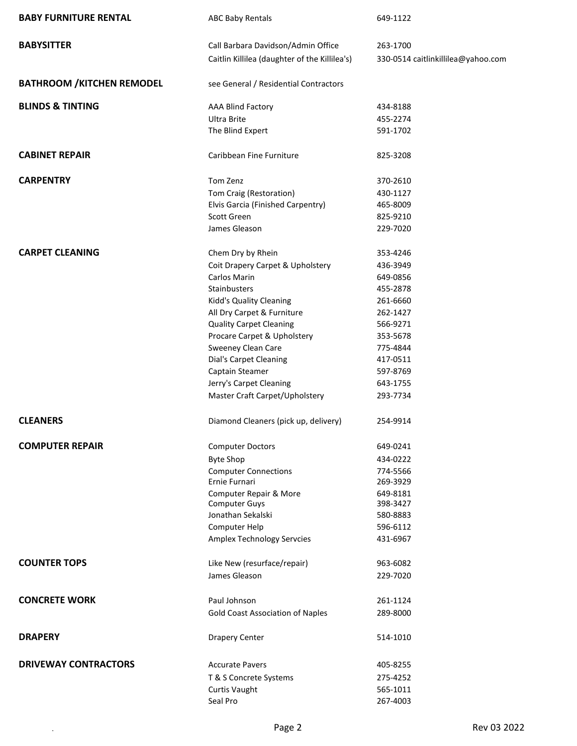| <b>BABY FURNITURE RENTAL</b>      | <b>ABC Baby Rentals</b>                       | 649-1122                           |
|-----------------------------------|-----------------------------------------------|------------------------------------|
| <b>BABYSITTER</b>                 | Call Barbara Davidson/Admin Office            | 263-1700                           |
|                                   | Caitlin Killilea (daughter of the Killilea's) | 330-0514 caitlinkillilea@yahoo.com |
| <b>BATHROOM / KITCHEN REMODEL</b> | see General / Residential Contractors         |                                    |
| <b>BLINDS &amp; TINTING</b>       | AAA Blind Factory                             | 434-8188                           |
|                                   | <b>Ultra Brite</b>                            | 455-2274                           |
|                                   | The Blind Expert                              | 591-1702                           |
| <b>CABINET REPAIR</b>             | Caribbean Fine Furniture                      | 825-3208                           |
| <b>CARPENTRY</b>                  | Tom Zenz                                      | 370-2610                           |
|                                   | Tom Craig (Restoration)                       | 430-1127                           |
|                                   | Elvis Garcia (Finished Carpentry)             | 465-8009                           |
|                                   | <b>Scott Green</b>                            | 825-9210                           |
|                                   | James Gleason                                 | 229-7020                           |
| <b>CARPET CLEANING</b>            | Chem Dry by Rhein                             | 353-4246                           |
|                                   | Coit Drapery Carpet & Upholstery              | 436-3949                           |
|                                   | Carlos Marin                                  | 649-0856                           |
|                                   | Stainbusters                                  | 455-2878                           |
|                                   | Kidd's Quality Cleaning                       | 261-6660                           |
|                                   | All Dry Carpet & Furniture                    | 262-1427                           |
|                                   | <b>Quality Carpet Cleaning</b>                | 566-9271                           |
|                                   | Procare Carpet & Upholstery                   | 353-5678                           |
|                                   | Sweeney Clean Care                            | 775-4844                           |
|                                   | <b>Dial's Carpet Cleaning</b>                 | 417-0511                           |
|                                   | Captain Steamer                               | 597-8769                           |
|                                   | Jerry's Carpet Cleaning                       | 643-1755                           |
|                                   | Master Craft Carpet/Upholstery                | 293-7734                           |
| <b>CLEANERS</b>                   | Diamond Cleaners (pick up, delivery)          | 254-9914                           |
| <b>COMPUTER REPAIR</b>            | <b>Computer Doctors</b>                       | 649-0241                           |
|                                   | <b>Byte Shop</b>                              | 434-0222                           |
|                                   | <b>Computer Connections</b>                   | 774-5566                           |
|                                   | Ernie Furnari                                 | 269-3929                           |
|                                   | Computer Repair & More                        | 649-8181                           |
|                                   | <b>Computer Guys</b>                          | 398-3427                           |
|                                   | Jonathan Sekalski                             | 580-8883                           |
|                                   | Computer Help                                 | 596-6112                           |
|                                   | <b>Amplex Technology Servcies</b>             | 431-6967                           |
| <b>COUNTER TOPS</b>               | Like New (resurface/repair)                   | 963-6082                           |
|                                   | James Gleason                                 | 229-7020                           |
| <b>CONCRETE WORK</b>              | Paul Johnson                                  | 261-1124                           |
|                                   | <b>Gold Coast Association of Naples</b>       | 289-8000                           |
| <b>DRAPERY</b>                    | <b>Drapery Center</b>                         | 514-1010                           |
| <b>DRIVEWAY CONTRACTORS</b>       | <b>Accurate Pavers</b>                        | 405-8255                           |
|                                   | T & S Concrete Systems                        | 275-4252                           |
|                                   | <b>Curtis Vaught</b>                          | 565-1011                           |
|                                   | Seal Pro                                      | 267-4003                           |
|                                   |                                               |                                    |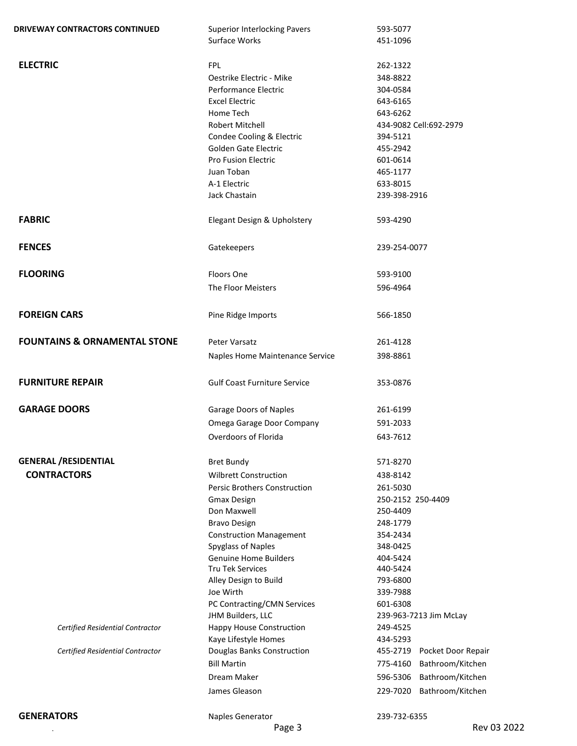| <b>DRIVEWAY CONTRACTORS CONTINUED</b>   | <b>Superior Interlocking Pavers</b><br>Surface Works | 593-5077<br>451-1096           |
|-----------------------------------------|------------------------------------------------------|--------------------------------|
| <b>ELECTRIC</b>                         | <b>FPL</b>                                           | 262-1322                       |
|                                         |                                                      |                                |
|                                         | Oestrike Electric - Mike<br>Performance Electric     | 348-8822                       |
|                                         | <b>Excel Electric</b>                                | 304-0584                       |
|                                         |                                                      | 643-6165                       |
|                                         | Home Tech                                            | 643-6262                       |
|                                         | <b>Robert Mitchell</b>                               | 434-9082 Cell:692-2979         |
|                                         | Condee Cooling & Electric                            | 394-5121                       |
|                                         | Golden Gate Electric                                 | 455-2942                       |
|                                         | <b>Pro Fusion Electric</b>                           | 601-0614                       |
|                                         | Juan Toban                                           | 465-1177                       |
|                                         | A-1 Electric                                         | 633-8015                       |
|                                         | Jack Chastain                                        | 239-398-2916                   |
| <b>FABRIC</b>                           | Elegant Design & Upholstery                          | 593-4290                       |
| <b>FENCES</b>                           | Gatekeepers                                          | 239-254-0077                   |
| <b>FLOORING</b>                         | Floors One                                           | 593-9100                       |
|                                         | The Floor Meisters                                   | 596-4964                       |
| <b>FOREIGN CARS</b>                     | Pine Ridge Imports                                   | 566-1850                       |
| <b>FOUNTAINS &amp; ORNAMENTAL STONE</b> | Peter Varsatz                                        | 261-4128                       |
|                                         | Naples Home Maintenance Service                      | 398-8861                       |
| <b>FURNITURE REPAIR</b>                 | <b>Gulf Coast Furniture Service</b>                  | 353-0876                       |
| <b>GARAGE DOORS</b>                     | Garage Doors of Naples                               | 261-6199                       |
|                                         | Omega Garage Door Company                            | 591-2033                       |
|                                         | Overdoors of Florida                                 | 643-7612                       |
| <b>GENERAL /RESIDENTIAL</b>             |                                                      |                                |
|                                         | <b>Bret Bundy</b>                                    | 571-8270                       |
| <b>CONTRACTORS</b>                      | <b>Wilbrett Construction</b>                         | 438-8142                       |
|                                         | <b>Persic Brothers Construction</b>                  | 261-5030                       |
|                                         | <b>Gmax Design</b>                                   | 250-2152 250-4409              |
|                                         | Don Maxwell                                          | 250-4409                       |
|                                         | <b>Bravo Design</b>                                  | 248-1779                       |
|                                         | <b>Construction Management</b>                       | 354-2434                       |
|                                         | Spyglass of Naples                                   | 348-0425                       |
|                                         | <b>Genuine Home Builders</b>                         | 404-5424                       |
|                                         | <b>Tru Tek Services</b>                              | 440-5424                       |
|                                         | Alley Design to Build                                | 793-6800                       |
|                                         | Joe Wirth                                            | 339-7988                       |
|                                         | PC Contracting/CMN Services                          | 601-6308                       |
|                                         | JHM Builders, LLC                                    | 239-963-7213 Jim McLay         |
| Certified Residential Contractor        | <b>Happy House Construction</b>                      | 249-4525                       |
|                                         | Kaye Lifestyle Homes                                 | 434-5293                       |
| Certified Residential Contractor        | Douglas Banks Construction                           | 455-2719<br>Pocket Door Repair |
|                                         | <b>Bill Martin</b>                                   | Bathroom/Kitchen<br>775-4160   |
|                                         | Dream Maker                                          | Bathroom/Kitchen<br>596-5306   |
|                                         | James Gleason                                        | Bathroom/Kitchen<br>229-7020   |
|                                         |                                                      |                                |

**GENERATORS** Naples Generator 239-732-6355<br>Page 3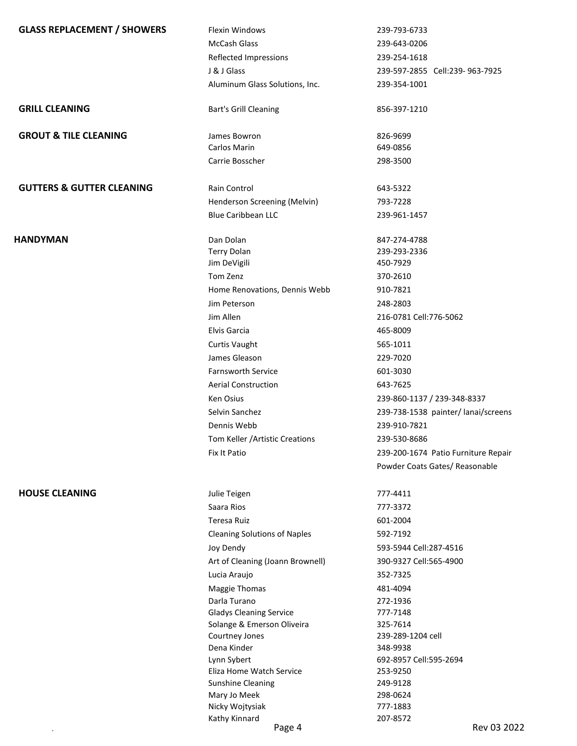| <b>GLASS REPLACEMENT / SHOWERS</b>   | Flexin Windows<br><b>McCash Glass</b> | 239-793-6733<br>239-643-0206        |
|--------------------------------------|---------------------------------------|-------------------------------------|
|                                      | Reflected Impressions                 | 239-254-1618                        |
|                                      | J & J Glass                           | 239-597-2855 Cell:239-963-7925      |
|                                      | Aluminum Glass Solutions, Inc.        | 239-354-1001                        |
| <b>GRILL CLEANING</b>                | Bart's Grill Cleaning                 | 856-397-1210                        |
| <b>GROUT &amp; TILE CLEANING</b>     | James Bowron                          | 826-9699                            |
|                                      | Carlos Marin                          | 649-0856                            |
|                                      | Carrie Bosscher                       | 298-3500                            |
| <b>GUTTERS &amp; GUTTER CLEANING</b> | Rain Control                          | 643-5322                            |
|                                      | Henderson Screening (Melvin)          | 793-7228                            |
|                                      | <b>Blue Caribbean LLC</b>             | 239-961-1457                        |
| <b>HANDYMAN</b>                      | Dan Dolan                             | 847-274-4788                        |
|                                      | <b>Terry Dolan</b>                    | 239-293-2336                        |
|                                      | Jim DeVigili                          | 450-7929                            |
|                                      | Tom Zenz                              | 370-2610                            |
|                                      | Home Renovations, Dennis Webb         | 910-7821                            |
|                                      | Jim Peterson                          | 248-2803                            |
|                                      | Jim Allen                             | 216-0781 Cell:776-5062              |
|                                      | Elvis Garcia                          | 465-8009                            |
|                                      | <b>Curtis Vaught</b>                  | 565-1011                            |
|                                      | James Gleason                         | 229-7020                            |
|                                      | <b>Farnsworth Service</b>             | 601-3030                            |
|                                      | <b>Aerial Construction</b>            | 643-7625                            |
|                                      | Ken Osius                             | 239-860-1137 / 239-348-8337         |
|                                      | Selvin Sanchez                        | 239-738-1538 painter/lanai/screens  |
|                                      | Dennis Webb                           | 239-910-7821                        |
|                                      | Tom Keller / Artistic Creations       | 239-530-8686                        |
|                                      | Fix It Patio                          | 239-200-1674 Patio Furniture Repair |
|                                      |                                       | Powder Coats Gates/ Reasonable      |
| <b>HOUSE CLEANING</b>                | Julie Teigen                          | 777-4411                            |
|                                      | Saara Rios                            | 777-3372                            |
|                                      | <b>Teresa Ruiz</b>                    | 601-2004                            |
|                                      | <b>Cleaning Solutions of Naples</b>   | 592-7192                            |
|                                      | Joy Dendy                             | 593-5944 Cell:287-4516              |
|                                      | Art of Cleaning (Joann Brownell)      | 390-9327 Cell:565-4900              |
|                                      | Lucia Araujo                          | 352-7325                            |
|                                      | Maggie Thomas                         | 481-4094                            |
|                                      | Darla Turano                          | 272-1936                            |
|                                      | <b>Gladys Cleaning Service</b>        | 777-7148                            |
|                                      | Solange & Emerson Oliveira            | 325-7614                            |
|                                      | Courtney Jones                        | 239-289-1204 cell                   |
|                                      | Dena Kinder<br>Lynn Sybert            | 348-9938<br>692-8957 Cell:595-2694  |
|                                      | Eliza Home Watch Service              | 253-9250                            |
|                                      | Sunshine Cleaning                     | 249-9128                            |
|                                      | Mary Jo Meek                          | 298-0624                            |
|                                      | Nicky Wojtysiak                       | 777-1883                            |
|                                      | Kathy Kinnard                         | 207-8572<br>Rev 03 2022             |
|                                      | Page 4                                |                                     |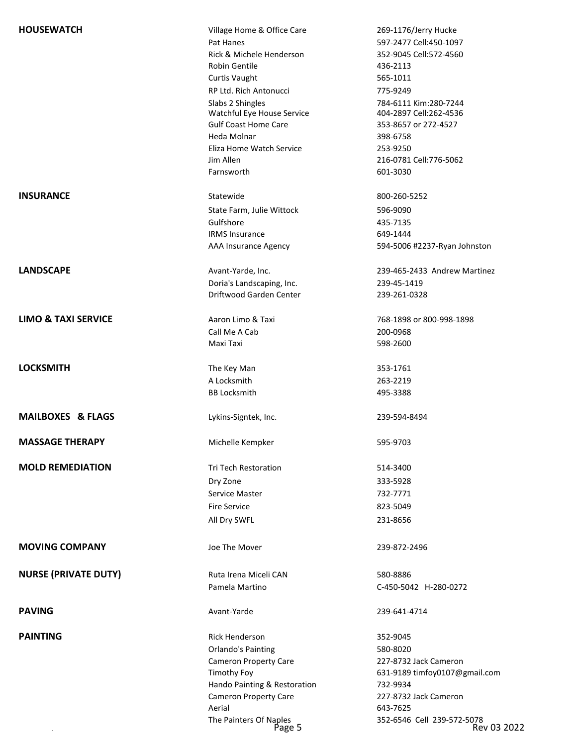| <b>HOUSEWATCH</b>              | Village Home & Office Care<br>Pat Hanes<br>Rick & Michele Henderson<br>Robin Gentile<br><b>Curtis Vaught</b><br>RP Ltd. Rich Antonucci<br>Slabs 2 Shingles<br>Watchful Eye House Service<br><b>Gulf Coast Home Care</b><br><b>Heda Molnar</b><br>Eliza Home Watch Service<br>Jim Allen<br>Farnsworth | 269-1176/Jerry Hucke<br>597-2477 Cell:450-1097<br>352-9045 Cell:572-4560<br>436-2113<br>565-1011<br>775-9249<br>784-6111 Kim:280-7244<br>404-2897 Cell:262-4536<br>353-8657 or 272-4527<br>398-6758<br>253-9250<br>216-0781 Cell:776-5062<br>601-3030 |
|--------------------------------|------------------------------------------------------------------------------------------------------------------------------------------------------------------------------------------------------------------------------------------------------------------------------------------------------|-------------------------------------------------------------------------------------------------------------------------------------------------------------------------------------------------------------------------------------------------------|
| <b>INSURANCE</b>               | Statewide<br>State Farm, Julie Wittock<br>Gulfshore<br><b>IRMS</b> Insurance<br>AAA Insurance Agency                                                                                                                                                                                                 | 800-260-5252<br>596-9090<br>435-7135<br>649-1444<br>594-5006 #2237-Ryan Johnston                                                                                                                                                                      |
| <b>LANDSCAPE</b>               | Avant-Yarde, Inc.<br>Doria's Landscaping, Inc.<br>Driftwood Garden Center                                                                                                                                                                                                                            | 239-465-2433 Andrew Martinez<br>239-45-1419<br>239-261-0328                                                                                                                                                                                           |
| <b>LIMO &amp; TAXI SERVICE</b> | Aaron Limo & Taxi<br>Call Me A Cab<br>Maxi Taxi                                                                                                                                                                                                                                                      | 768-1898 or 800-998-1898<br>200-0968<br>598-2600                                                                                                                                                                                                      |
| <b>LOCKSMITH</b>               | The Key Man<br>A Locksmith<br><b>BB Locksmith</b>                                                                                                                                                                                                                                                    | 353-1761<br>263-2219<br>495-3388                                                                                                                                                                                                                      |
| <b>MAILBOXES &amp; FLAGS</b>   | Lykins-Signtek, Inc.                                                                                                                                                                                                                                                                                 | 239-594-8494                                                                                                                                                                                                                                          |
| <b>MASSAGE THERAPY</b>         | Michelle Kempker                                                                                                                                                                                                                                                                                     | 595-9703                                                                                                                                                                                                                                              |
| <b>MOLD REMEDIATION</b>        | <b>Tri Tech Restoration</b><br>Dry Zone<br>Service Master<br><b>Fire Service</b><br>All Dry SWFL                                                                                                                                                                                                     | 514-3400<br>333-5928<br>732-7771<br>823-5049<br>231-8656                                                                                                                                                                                              |
| <b>MOVING COMPANY</b>          | Joe The Mover                                                                                                                                                                                                                                                                                        | 239-872-2496                                                                                                                                                                                                                                          |
| <b>NURSE (PRIVATE DUTY)</b>    | Ruta Irena Miceli CAN<br>Pamela Martino                                                                                                                                                                                                                                                              | 580-8886<br>C-450-5042 H-280-0272                                                                                                                                                                                                                     |
| <b>PAVING</b>                  | Avant-Yarde                                                                                                                                                                                                                                                                                          | 239-641-4714                                                                                                                                                                                                                                          |
| <b>PAINTING</b>                | <b>Rick Henderson</b><br><b>Orlando's Painting</b><br><b>Cameron Property Care</b><br><b>Timothy Foy</b><br>Hando Painting & Restoration<br>Cameron Property Care<br>Aerial<br>The Painters Of Naples<br>Page 5                                                                                      | 352-9045<br>580-8020<br>227-8732 Jack Cameron<br>631-9189 timfoy0107@gmail.com<br>732-9934<br>227-8732 Jack Cameron<br>643-7625<br>352-6546 Cell 239-572-5078<br>Rev 03 2022                                                                          |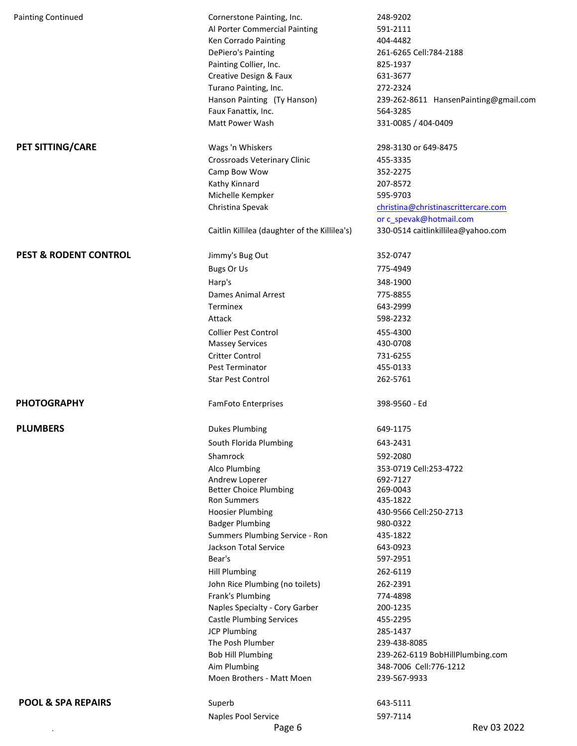| <b>Painting Continued</b>        | Cornerstone Painting, Inc.                    | 248-9202                              |
|----------------------------------|-----------------------------------------------|---------------------------------------|
|                                  | Al Porter Commercial Painting                 | 591-2111                              |
|                                  | Ken Corrado Painting                          | 404-4482                              |
|                                  | DePiero's Painting                            | 261-6265 Cell: 784-2188               |
|                                  | Painting Collier, Inc.                        | 825-1937                              |
|                                  | Creative Design & Faux                        | 631-3677                              |
|                                  | Turano Painting, Inc.                         | 272-2324                              |
|                                  | Hanson Painting (Ty Hanson)                   | 239-262-8611 HansenPainting@gmail.com |
|                                  | Faux Fanattix, Inc.                           | 564-3285                              |
|                                  | Matt Power Wash                               | 331-0085 / 404-0409                   |
|                                  |                                               |                                       |
| PET SITTING/CARE                 | Wags 'n Whiskers                              | 298-3130 or 649-8475                  |
|                                  | Crossroads Veterinary Clinic                  | 455-3335                              |
|                                  | Camp Bow Wow                                  | 352-2275                              |
|                                  | Kathy Kinnard                                 | 207-8572                              |
|                                  | Michelle Kempker                              | 595-9703                              |
|                                  | Christina Spevak                              | christina@christinascrittercare.com   |
|                                  |                                               |                                       |
|                                  |                                               | or c_spevak@hotmail.com               |
|                                  | Caitlin Killilea (daughter of the Killilea's) | 330-0514 caitlinkillilea@yahoo.com    |
| <b>PEST &amp; RODENT CONTROL</b> | Jimmy's Bug Out                               | 352-0747                              |
|                                  | Bugs Or Us                                    | 775-4949                              |
|                                  |                                               |                                       |
|                                  | Harp's                                        | 348-1900                              |
|                                  | <b>Dames Animal Arrest</b>                    | 775-8855                              |
|                                  | <b>Terminex</b>                               | 643-2999                              |
|                                  | Attack                                        | 598-2232                              |
|                                  | <b>Collier Pest Control</b>                   | 455-4300                              |
|                                  | <b>Massey Services</b>                        | 430-0708                              |
|                                  | Critter Control                               | 731-6255                              |
|                                  | Pest Terminator                               | 455-0133                              |
|                                  | <b>Star Pest Control</b>                      | 262-5761                              |
|                                  |                                               |                                       |
| <b>PHOTOGRAPHY</b>               | FamFoto Enterprises                           | 398-9560 - Ed                         |
|                                  |                                               |                                       |
| <b>PLUMBERS</b>                  | <b>Dukes Plumbing</b>                         | 649-1175                              |
|                                  | South Florida Plumbing                        | 643-2431                              |
|                                  | Shamrock                                      | 592-2080                              |
|                                  | <b>Alco Plumbing</b>                          | 353-0719 Cell:253-4722                |
|                                  | Andrew Loperer                                | 692-7127                              |
|                                  | <b>Better Choice Plumbing</b>                 | 269-0043                              |
|                                  | <b>Ron Summers</b>                            | 435-1822                              |
|                                  | <b>Hoosier Plumbing</b>                       | 430-9566 Cell:250-2713                |
|                                  | <b>Badger Plumbing</b>                        | 980-0322                              |
|                                  | Summers Plumbing Service - Ron                | 435-1822                              |
|                                  | Jackson Total Service                         | 643-0923                              |
|                                  | Bear's                                        | 597-2951                              |
|                                  | <b>Hill Plumbing</b>                          | 262-6119                              |
|                                  | John Rice Plumbing (no toilets)               | 262-2391                              |
|                                  | Frank's Plumbing                              | 774-4898                              |
|                                  | Naples Specialty - Cory Garber                | 200-1235                              |
|                                  | <b>Castle Plumbing Services</b>               | 455-2295                              |
|                                  | <b>JCP Plumbing</b>                           | 285-1437                              |
|                                  | The Posh Plumber                              | 239-438-8085                          |
|                                  | <b>Bob Hill Plumbing</b>                      | 239-262-6119 BobHillPlumbing.com      |
|                                  | Aim Plumbing                                  | 348-7006 Cell:776-1212                |
|                                  | Moen Brothers - Matt Moen                     | 239-567-9933                          |
|                                  |                                               |                                       |
| <b>POOL &amp; SPA REPAIRS</b>    | Superb                                        | 643-5111                              |
|                                  | Naples Pool Service                           | 597-7114                              |
|                                  | Page 6                                        | Rev 03 2022                           |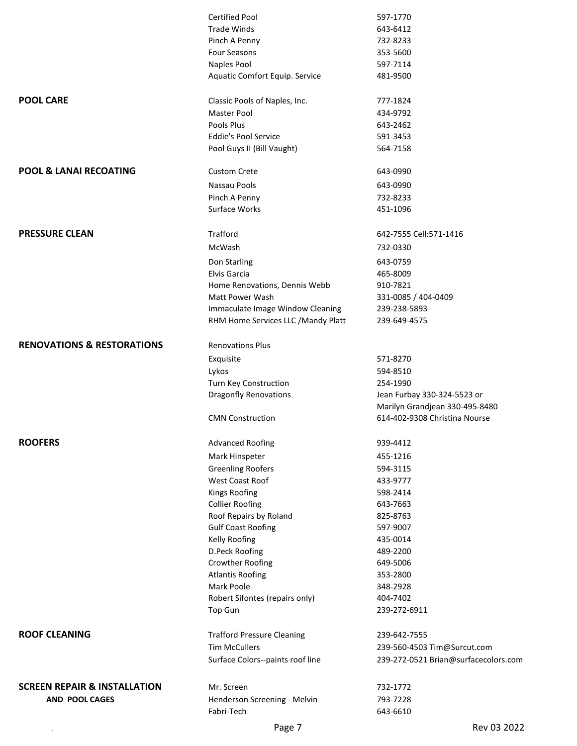|                                         | <b>Certified Pool</b>               | 597-1770                             |
|-----------------------------------------|-------------------------------------|--------------------------------------|
|                                         | <b>Trade Winds</b>                  | 643-6412                             |
|                                         | Pinch A Penny                       | 732-8233                             |
|                                         | <b>Four Seasons</b>                 | 353-5600                             |
|                                         | Naples Pool                         | 597-7114                             |
|                                         | Aquatic Comfort Equip. Service      | 481-9500                             |
| <b>POOL CARE</b>                        | Classic Pools of Naples, Inc.       | 777-1824                             |
|                                         | Master Pool                         | 434-9792                             |
|                                         | Pools Plus                          | 643-2462                             |
|                                         | <b>Eddie's Pool Service</b>         | 591-3453                             |
|                                         | Pool Guys II (Bill Vaught)          | 564-7158                             |
| <b>POOL &amp; LANAI RECOATING</b>       | <b>Custom Crete</b>                 | 643-0990                             |
|                                         | Nassau Pools                        | 643-0990                             |
|                                         | Pinch A Penny                       | 732-8233                             |
|                                         | Surface Works                       | 451-1096                             |
| <b>PRESSURE CLEAN</b>                   | <b>Trafford</b>                     | 642-7555 Cell:571-1416               |
|                                         | McWash                              | 732-0330                             |
|                                         | Don Starling                        | 643-0759                             |
|                                         | Elvis Garcia                        | 465-8009                             |
|                                         | Home Renovations, Dennis Webb       | 910-7821                             |
|                                         | Matt Power Wash                     | 331-0085 / 404-0409                  |
|                                         | Immaculate Image Window Cleaning    | 239-238-5893                         |
|                                         | RHM Home Services LLC / Mandy Platt | 239-649-4575                         |
| <b>RENOVATIONS &amp; RESTORATIONS</b>   | <b>Renovations Plus</b>             |                                      |
|                                         | Exquisite                           | 571-8270                             |
|                                         | Lykos                               | 594-8510                             |
|                                         | Turn Key Construction               | 254-1990                             |
|                                         | <b>Dragonfly Renovations</b>        | Jean Furbay 330-324-5523 or          |
|                                         |                                     | Marilyn Grandjean 330-495-8480       |
|                                         | <b>CMN</b> Construction             | 614-402-9308 Christina Nourse        |
| <b>ROOFERS</b>                          | <b>Advanced Roofing</b>             | 939-4412                             |
|                                         | Mark Hinspeter                      | 455-1216                             |
|                                         | <b>Greenling Roofers</b>            | 594-3115                             |
|                                         | <b>West Coast Roof</b>              | 433-9777                             |
|                                         | <b>Kings Roofing</b>                | 598-2414                             |
|                                         | <b>Collier Roofing</b>              | 643-7663                             |
|                                         | Roof Repairs by Roland              | 825-8763                             |
|                                         | <b>Gulf Coast Roofing</b>           | 597-9007                             |
|                                         | Kelly Roofing                       | 435-0014                             |
|                                         | D.Peck Roofing                      | 489-2200                             |
|                                         | Crowther Roofing                    | 649-5006                             |
|                                         | <b>Atlantis Roofing</b>             | 353-2800                             |
|                                         | Mark Poole                          | 348-2928                             |
|                                         | Robert Sifontes (repairs only)      | 404-7402                             |
|                                         | Top Gun                             | 239-272-6911                         |
| <b>ROOF CLEANING</b>                    | <b>Trafford Pressure Cleaning</b>   | 239-642-7555                         |
|                                         | <b>Tim McCullers</b>                | 239-560-4503 Tim@Surcut.com          |
|                                         | Surface Colors--paints roof line    | 239-272-0521 Brian@surfacecolors.com |
| <b>SCREEN REPAIR &amp; INSTALLATION</b> | Mr. Screen                          | 732-1772                             |
| <b>AND POOL CAGES</b>                   | Henderson Screening - Melvin        | 793-7228                             |
|                                         | Fabri-Tech                          | 643-6610                             |
|                                         |                                     |                                      |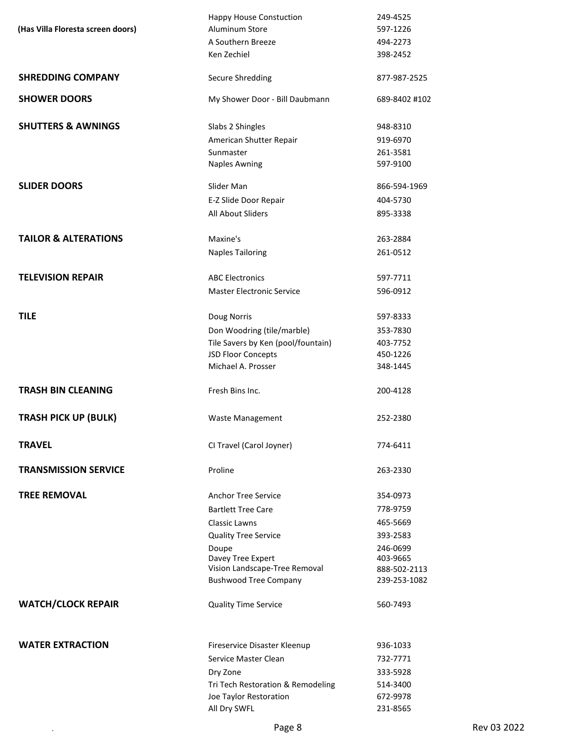|                                   | <b>Happy House Constuction</b>     | 249-4525             |
|-----------------------------------|------------------------------------|----------------------|
| (Has Villa Floresta screen doors) | Aluminum Store                     | 597-1226             |
|                                   | A Southern Breeze                  | 494-2273             |
|                                   | Ken Zechiel                        | 398-2452             |
| <b>SHREDDING COMPANY</b>          | <b>Secure Shredding</b>            | 877-987-2525         |
| <b>SHOWER DOORS</b>               | My Shower Door - Bill Daubmann     | 689-8402 #102        |
| <b>SHUTTERS &amp; AWNINGS</b>     | Slabs 2 Shingles                   | 948-8310             |
|                                   | American Shutter Repair            | 919-6970             |
|                                   | Sunmaster                          | 261-3581             |
|                                   | <b>Naples Awning</b>               | 597-9100             |
| <b>SLIDER DOORS</b>               | Slider Man                         | 866-594-1969         |
|                                   | E-Z Slide Door Repair              | 404-5730             |
|                                   | <b>All About Sliders</b>           | 895-3338             |
| <b>TAILOR &amp; ALTERATIONS</b>   | Maxine's                           | 263-2884             |
|                                   | <b>Naples Tailoring</b>            | 261-0512             |
|                                   |                                    |                      |
| <b>TELEVISION REPAIR</b>          | <b>ABC Electronics</b>             | 597-7711             |
|                                   | <b>Master Electronic Service</b>   | 596-0912             |
| <b>TILE</b>                       | Doug Norris                        | 597-8333             |
|                                   | Don Woodring (tile/marble)         | 353-7830             |
|                                   | Tile Savers by Ken (pool/fountain) | 403-7752             |
|                                   | JSD Floor Concepts                 | 450-1226             |
|                                   | Michael A. Prosser                 | 348-1445             |
| <b>TRASH BIN CLEANING</b>         | Fresh Bins Inc.                    | 200-4128             |
| <b>TRASH PICK UP (BULK)</b>       | Waste Management                   | 252-2380             |
| <b>TRAVEL</b>                     | CI Travel (Carol Joyner)           | 774-6411             |
| <b>TRANSMISSION SERVICE</b>       | Proline                            | 263-2330             |
| <b>TREE REMOVAL</b>               | <b>Anchor Tree Service</b>         | 354-0973             |
|                                   | <b>Bartlett Tree Care</b>          | 778-9759             |
|                                   | <b>Classic Lawns</b>               | 465-5669             |
|                                   | <b>Quality Tree Service</b>        | 393-2583             |
|                                   | Doupe                              | 246-0699             |
|                                   | Davey Tree Expert                  | 403-9665             |
|                                   | Vision Landscape-Tree Removal      | 888-502-2113         |
|                                   | <b>Bushwood Tree Company</b>       | 239-253-1082         |
| <b>WATCH/CLOCK REPAIR</b>         | <b>Quality Time Service</b>        | 560-7493             |
|                                   |                                    |                      |
| <b>WATER EXTRACTION</b>           | Fireservice Disaster Kleenup       | 936-1033             |
|                                   | Service Master Clean               | 732-7771             |
|                                   | Dry Zone                           | 333-5928             |
|                                   | Tri Tech Restoration & Remodeling  | 514-3400             |
|                                   | Joe Taylor Restoration             | 672-9978<br>231-8565 |
|                                   | All Dry SWFL                       |                      |